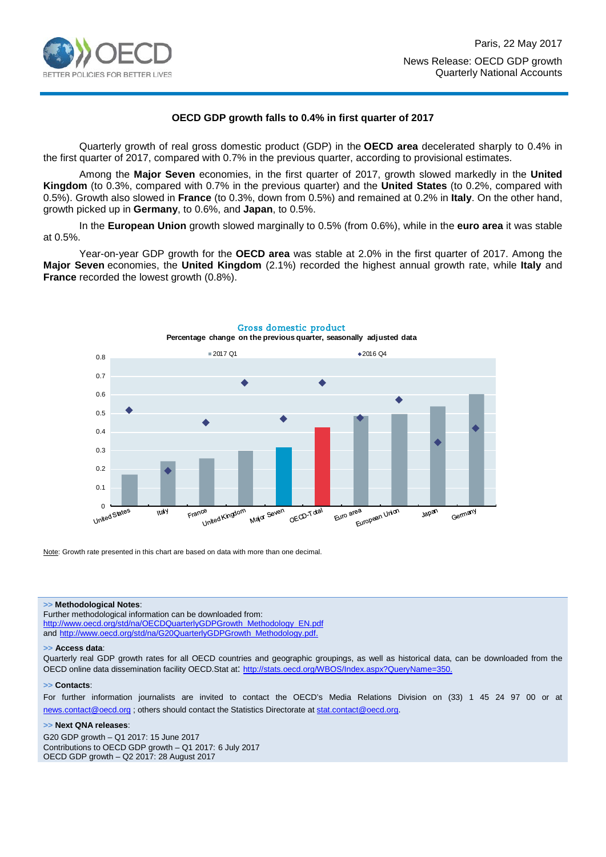

### **OECD GDP growth falls to 0.4% in first quarter of 2017**

Quarterly growth of real gross domestic product (GDP) in the **OECD area** decelerated sharply to 0.4% in the first quarter of 2017, compared with 0.7% in the previous quarter, according to provisional estimates.

Among the **Major Seven** economies, in the first quarter of 2017, growth slowed markedly in the **United Kingdom** (to 0.3%, compared with 0.7% in the previous quarter) and the **United States** (to 0.2%, compared with 0.5%). Growth also slowed in **France** (to 0.3%, down from 0.5%) and remained at 0.2% in **Italy**. On the other hand, growth picked up in **Germany**, to 0.6%, and **Japan**, to 0.5%.

In the **European Union** growth slowed marginally to 0.5% (from 0.6%), while in the **euro area** it was stable at 0.5%.

Year-on-year GDP growth for the **OECD area** was stable at 2.0% in the first quarter of 2017. Among the **Major Seven** economies, the **United Kingdom** (2.1%) recorded the highest annual growth rate, while **Italy** and **France** recorded the lowest growth (0.8%).



Note: Growth rate presented in this chart are based on data with more than one decimal.

#### **>> Methodological Notes**:

Further methodological information can be downloaded from: [http://www.oecd.org/std/na/OECDQuarterlyGDPGrowth\\_Methodology\\_EN.pdf](http://www.oecd.org/std/na/OECDQuarterlyGDPGrowth_Methodology_EN.pdf) and [http://www.oecd.org/std/na/G20QuarterlyGDPGrowth\\_Methodology.pdf.](http://www.oecd.org/std/na/G20QuarterlyGDPGrowth_Methodology.pdf)

#### **>> Access data**:

Quarterly real GDP growth rates for all OECD countries and geographic groupings, as well as historical data, can be downloaded from the OECD online data dissemination facility OECD.Stat at:<http://stats.oecd.org/WBOS/Index.aspx?QueryName=350>.

#### **>> Contacts**:

For further information journalists are invited to contact the OECD's Media Relations Division on (33) 1 45 24 97 00 or at [news.contact@oecd.org](mailto:news.contact@oecd.org) ; others should contact the Statistics Directorate at [stat.contact@oecd.org.](mailto:stat.contact@oecd.org)

#### **>> Next QNA releases**:

G20 GDP growth – Q1 2017: 15 June 2017 Contributions to OECD GDP growth – Q1 2017: 6 July 2017 OECD GDP growth – Q2 2017: 28 August 2017